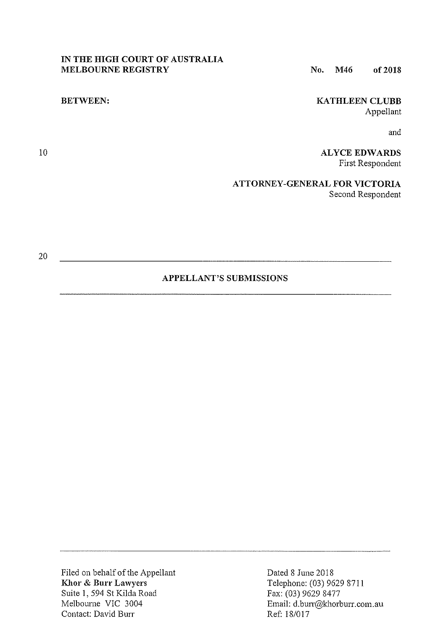# **IN THE HIGH COURT OF AUSTRALIA MELBOURNE REGISTRY**

# No. **M46 of2018**

# **BETWEEN:**

# **KATHLEEN CLUBB**  Appellant

and

**ALYCE EDWARDS**  First Respondent

**ATTORNEY-GENERAL FOR VICTORIA**  Second Respondent

20

10

# **APPELLANT'S SUBMISSIONS**

Filed on behalf of the Appellant **Khor & Burr** Lawyers Suite I, 594 St Kilda Road Melbourne VIC 3004 Contact: David Burr

Dated 8 June 2018 Telephone: (03) 9629 8711 Fax: (03) 9629 8477 Email: d.burr@khorburr.com.au Ref: 18/017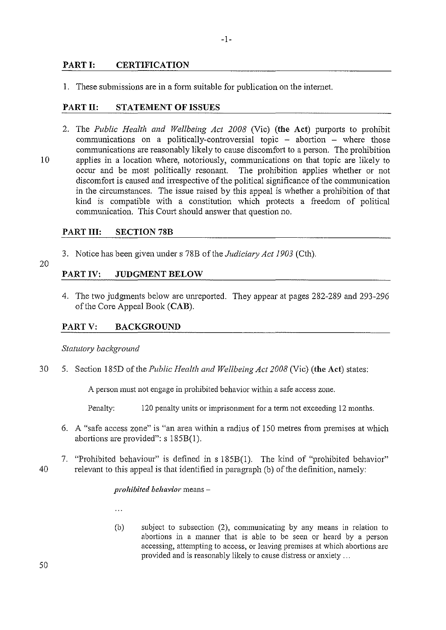# **PART I: CERTIFICATION**

I. These submissions are in a fonn suitable for publication on the intemet.

# **PARTII: STATEMENT OF ISSUES**

2. The *Public Health and Wellbeing Act 2008* (Vie) **(the Act)** purports to prohibit communications on a politically-controversial topic  $-$  abortion  $-$  where those communications are reasonably likely to cause discomfort to a person. The prohibition 10 applies in a location where, notoriously, communications on that topic are likely to occur and be most politically resonant. The prohibition applies whether or not occur and be most politically resonant. discomfort is caused and irrespective of the political significance of the communication in the circumstances. The issue raised by this appeal is whether a prohibition of that kind is compatible with a constitution which protects a freedom of political communication. This Court should answer that question no.

# PART III: SECTION 78B

- 3. Notice has been given under s 78B of the *Judiciary Act 1903* (Cth).
- 20

# **PART IV: JUDGMENT BELOW**

4. The two judgments below are unreported. They appear at pages 282-289 and 293-296 of the Core Appeal Book **(CAB).** 

# **PART V: BACKGROUND**

# **Statutory background**

30 5. Section 185D of the *Public Health and Wellbeing Act 2008* (Vie) **(the Act)** states:

A person must not engage in prohibited behavior within a safe access zone.

Penalty: 120 penalty units or imprisonment for a tenn not exceeding 12 months.

- 6. A "safe access zone" is "an area within a radius of 150 metres from premises at which abortions are provided":  $s$  185B(1).
- 7. "Prohibited behaviour" is defined in s 185B(l ). The kind of "prohibited behavior" 40 relevant to this appeal is that identified in paragraph (b) of the definition, namely:

#### *prohibited behavior* means-

 $\ddotsc$ 

(b) subject to subsection (2), communicating by any means in relation to abortions in a manner that is able to be seen or heard by a person accessing, attempting to access, or leaving premises at which abortions are provided and is reasonably likely to cause distress or anxiety ...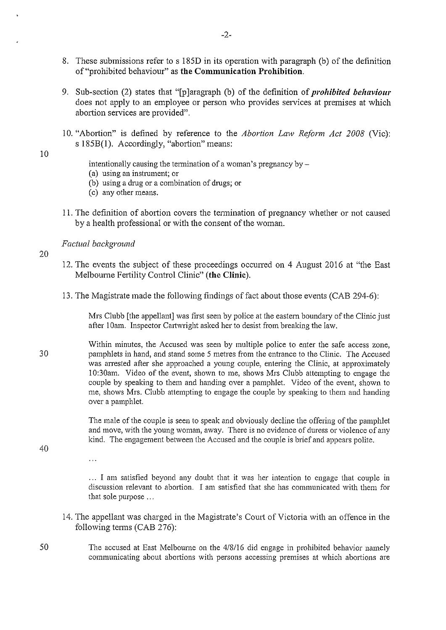- 8. These submissions refer to s 185D in its operation with paragraph (b) of the definition of "prohibited behaviour" as **the Communication Prohibition.**
- 9. Sub-section (2) states that "[p]aragraph (b) of the definition of *prohibited behaviour*  does not apply to an employee or person who provides services at premises at which abortion services are provided".
- 10. "Abortion" is defined by reference to the *Abortion Law Reform Act 2008* (Vie): s 185B(l). Accordingly, "abortion" means:

intentionally causing the termination of a woman's pregnancy by  $-$ 

- (a) using an instrument; or
- (b) using a drug or a combination of drugs; or
- (c) any other means.
- 11. The definition of abotiion covers the tennination of pregnancy whether or not caused by a health professional or with the consent of the woman.

#### *Factual background*

 $\ldots$ 

20

10

- 12. The events the subject of these proceedings occurred on 4 August 2016 at "the East" Melbourne Fertility Control Clinic" **(the Clinic).**
- 13. The Magistrate made the following findings of fact about those events (CAB 294-6):

Mrs Clubb [the appellant] was first seen by police at the eastern boundary of the Clinic just after 1 Oam. Inspector Cartwright asked her to desist from breaking the law.

30 Within minutes, the Accused was seen by multiple police to enter the safe access zone, pamphlets in hand, and stand some 5 metres from the entrance to the Clinic. The Accused was arrested after she approached a young couple, entering the Clinic, at approximately 1 0:30am. Video of the event, shown to me, shows Mrs Clubb attempting to engage the couple by speaking to them and handing over a pamphlet. Video of the event, shown to me, shows Mrs. Clubb attempting to engage the couple by speaking to them and handing over a pamphlet.

> The male of the couple is seen to speak and obviously decline the offering of the pamphlet and move, with the young woman, away. There is no evidence of duress or violence of any kind. The engagement between the Accused and the couple is brief and appears polite.

40

I am satisfied beyond any doubt that it was her intention to engage that couple in discussion relevant to abortion. I am satisfied that she has communicated with them for that sole purpose ...

- 14. The appellant was charged in the Magistrate's Court of Victoria with an offence in the following terms (CAB  $276$ ):
- 50 The accused at East Melboume on the 4/8/16 did engage in prohibited behavior namely communicating about abortions with persons accessing premises at which abortions are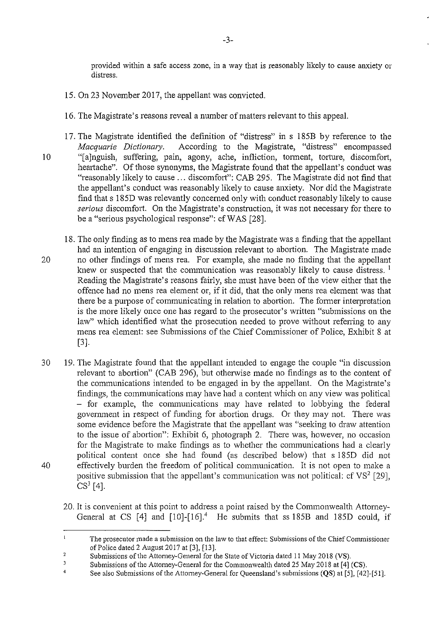provided within a safe access zone, in a way that is reasonably likely to cause anxiety or distress.

- 15. On 23 November 2017, the appellant was convicted.
- 16. The Magistrate's reasons reveal a number of matters relevant to this appeal.
- 17. The Magistrate identified the definition of "distress" in s 185B by reference to the *Macquarie Dictionary.* According to the Magistrate, "distress" encompassed 10 "[a]nguish, suffering, pain, agony, ache, infliction, torment, torture, discomfort, heartache". Of those synonyms, the Magistrate found that the appellant's conduct was "reasonably likely to cause ... discomfort": CAB 295. The Magistrate did not find that the appellant's conduct was reasonably likely to cause anxiety. Nor did the Magistrate find that s 185D was relevantly concemed only with conduct reasonably likely to cause *serious* discomfort. On the Magistrate's construction, it was not necessary for there to be a "serious psychological response": cf WAS (28].
- 18. The only finding as to mens rea made by the Magistrate was a finding that the appellant had an intention of engaging in discussion relevant to abortion. The Magistrate made 20 no other findings of mens rea. For example, she made no finding that the appellant knew or suspected that the communication was reasonably likely to cause distress.  $<sup>1</sup>$ </sup> Reading the Magistrate's reasons fairly, she must have been of the view either that the offence had no mens rea element or, if it did, that the only mens rea element was that there be a purpose of communicating in relation to abortion. The former interpretation is the more likely once one has regard to the prosecutor's written "submissions on the law" which identified what the prosecution needed to prove without referring to any mens rea element: see Submissions of the Chief Commissioner of Police, Exhibit 8 at (3].
- 30 19. The Magistrate found that the appellant intended to engage the couple "in discussion relevant to abortion" (CAB 296), but otherwise made no findings as to the content of the communications intended to be engaged in by the appellant. On the Magistrate's findings, the communications may have had a content which on any view was political - for example, the communications may have related to lobbying the federal govemment in respect of funding for abortion drugs. Or they may not. There was some evidence before the Magistrate that the appellant was "seeking to draw attention to the issue of abortion": Exhibit 6, photograph 2. There was, however, no occasion for the Magistrate to make findings as to whether the communications had a clearly political content once she had found (as described below) that s 185D did not 40 effectively burden the freedom of political communication. It is not open to make a positive submission that the appellant's communication was not political: cf  $VS^2$  [29],  $CS^3$  [4].
	- 20. It is convenient at this point to address a point raised by the Commonwealth Attomey-General at CS  $[4]$  and  $[10]$ - $[16]$ <sup>4</sup> He submits that ss 185B and 185D could, if

 $\overline{3}$ Submissions of the Attomey-General for the Commonwealth dated 25 May 2018 at [4) (CS).

 $\mathbf{I}$ **The prosecutor made a submission on the law to that effect: Submissions of the Chief Conunissioner**  of Police dated 2 August 2017 at  $[3]$ ,  $[13]$ .

 $\overline{2}$ Submissions of the Attomey-General for the State of Victoria dated 11 May 2018 (VS).

 $\overline{4}$ See also Submissions of the Attomey-General for Queensland's submissions (QS) at [5], [42)-[51].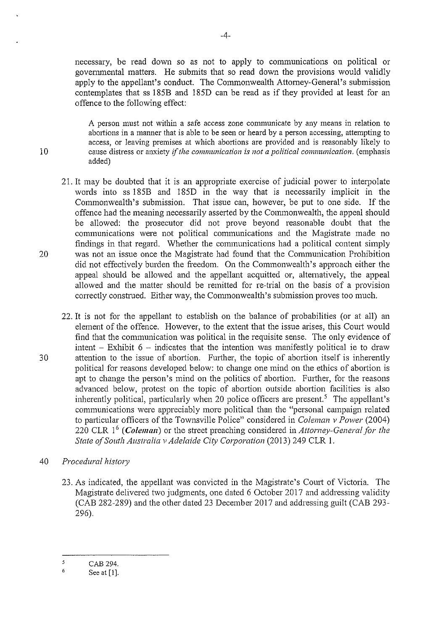necessary, be read down so as not to apply to communications on political or govenunental matters. He submits that so read down the provisions would validly apply to the appellant's conduct. The Commonwealth Attorney-General's submission contemplates that ss 185B and 185D can be read as if they provided at least for an offence to the following effect:

A person must not within a safe access zone communicate by any means in relation to abortions in a manner that is able to be seen or heard by a person accessing, attempting to access, or leaving premises at which abortions are provided and is reasonably likely to I 0 cause distress or anxiety if *the communication is not a political communication.* (emphasis added)

- 21. It may be doubted that it is an appropriate exercise of judicial power to interpolate words into ss 185B and 185D in the way that is necessarily implicit in the Commonwealth's submission. That issue can, however, be put to one side. If the offence had the meaning necessarily asserted by the Commonwealth, the appeal should be allowed: the prosecutor did not prove beyond reasonable doubt that the communications were not political communications and the Magistrate made no findings in that regard. Whether the communications had a political content simply 20 was not an issue once the Magistrate had found that the Communication Prohibition did not effectively burden the freedom. On the Commonwealth's approach either the appeal should be allowed and the appellant acquitted or, alternatively, the appeal allowed and the matter should be remitted for re-trial on the basis of a provision correctly construed. Either way, the Commonwealth's submission proves too much.
- 22. It is not for the appellant to establish on the balance of probabilities (or at all) an element of the offence. However, to the extent that the issue arises, this Court would find that the communication was political in the requisite sense. The only evidence of intent  $-$  Exhibit 6  $-$  indicates that the intention was manifestly political ie to draw 30 attention to the issue of abortion. Further, the topic of abortion itself is inherently political for reasons developed below: to change one mind on the ethics of abortion is apt to change the person's mind on the politics of abortion. Further, for the reasons advanced below, protest on the topic of abortion outside abortion facilities is also inherently political, particularly when 20 police officers are present.<sup>5</sup> The appellant's communications were appreciably more political than the "personal campaign related to particular officers of the Townsville Police" considered in *Coleman v Power* (2004) 220 CLR 16 ( *Coleman)* or the street preaching considered in *Attorney-General for the State of South Australia v Adelaide City Corporation* (2013) 249 CLR I.
- 40 *Procedural history* 
	- 23. As indicated, the appellant was convicted in the Magistrate's Court of Victoria. The Magistrate delivered two judgments, one dated 6 October 2017 and addressing validity (CAB 282-289) and the other dated 23 December 2017 and addressing guilt (CAB 293- 296).

 $\mathbf{5}$ CAB 294.

<sup>6</sup>  See at [1].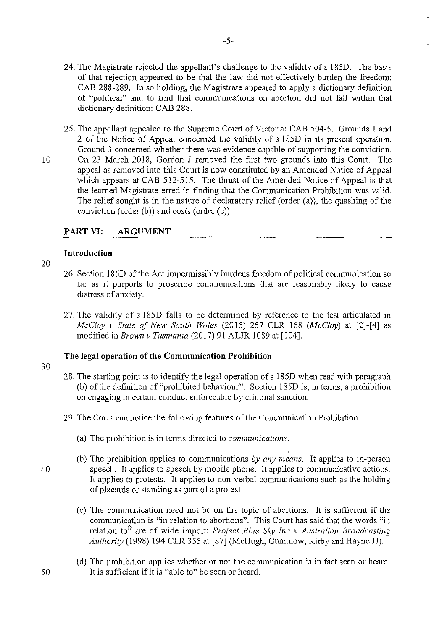- 24. The Magistrate rejected the appellant's challenge to the validity of s 185D. The basis of that rejection appeared to be that the law did not effectively burden the freedom: CAB 288-289. In so holding, the Magistrate appeared to apply a dictionary definition of "political" and to find that communications on abortion did not fall within that dictionary definition: CAB 288.
- 25. The appellant appealed to the Supreme Court of Victoria: CAB 504-5. Grounds 1 and 2 of the Notice of Appeal concemed the validity of s 185D in its present operation. Ground 3 concemed whether there was evidence capable of supporting the conviction. 10 On 23 March 2018, Gordon J removed the first two grounds into this Court. The appeal as removed into this Court is now constituted by an Amended Notice of Appeal which appears at CAB 512-515. The thrust of the Amended Notice of Appeal is that the learned Magistrate erred in finding that the Communication Prohibition was valid. The relief sought is in the nature of declaratory relief (order (a)), the quashing of the conviction (order (b)) and costs (order (c)).

# **PART VI: ARGUMENT**

## **Introduction**

- 20
- 26. Section 185D of the Act impennissibly burdens freedom of political communication so far as it purports to proscribe communications that are reasonably likely to cause distress of anxiety.
- 27. The validity of s 185D falls to be determined by reference to the test articulated in *McC/oy v State of New South Wales* (2015) 257 CLR 168 *(McCloy)* at [2]-[4] as modified in *Brown v Tasmania* (2017) 91 ALJR 1089 at (104].

# **The legal operation of the Communication Prohibition**

- 28. The starting point is to identify the legal operation ofs 185D when read with paragraph (b) of the definition of"prohibited behaviour". Section 185D is, in terms, a prohibition on engaging in certain conduct enforceable by criminal sanction.
- 29. The Court can notice the following features of the Communication Prohibition.
	- (a) The prohibition is in terms directed to *communications.*
- (b) The prohibition applies to communications *by any means.* It applies to in-person 40 speech. It applies to speech by mobile phone. It applies to communicative actions. It applies to protests. It applies to non-verbal communications such as the holding of placards or standing as part of a protest.
	- (c) The communication need not be on the topic of abortions. It is sufficient if the communication is "in relation to abortions". This Court has said that the words "in relation to<sup>3</sup> are of wide import: *Project Blue Sky Inc v Australian Broadcasting Authority* (1998) 194 CLR 355 at (87] (McHugh, Gummow, Kirby and Hayne JJ).
- (d) The prohibition applies whether or not the communication is in fact seen or heard. 50 It is sufficient if it is "able to" be seen or heard.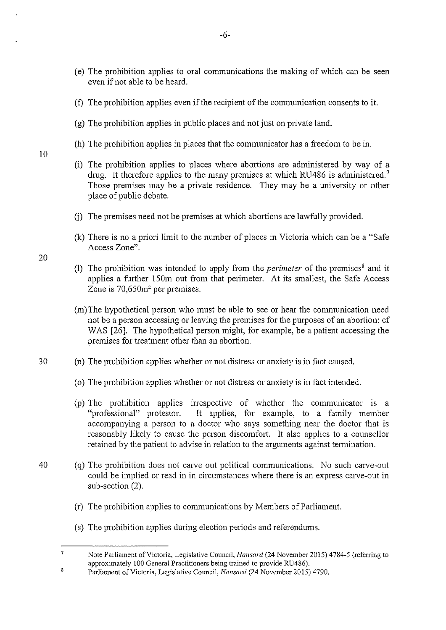- (e) The prohibition applies to oral communications the making of which can be seen even if not able to be heard.
- (f) The prohibition applies even if the recipient of the communication consents to it.

-6-

- (g) The prohibition applies in public places and not just on private land.
- (h) The prohibition applies in places that the communicator has a freedom to be in.
- (i) The prohibition applies to places where abortions are administered by way of a drug. It therefore applies to the many premises at which RU486 is administered.<sup>7</sup> Those premises may be a private residence. They may be a university or other place of public debate.
- G) The premises need not be premises at which abotiions are lawfully provided.
- (k) There is no a priori limit to the number of places in Victoria which can be a "Safe Access Zone".
- (I) The prohibition was intended to apply from the *perimeter* of the premises<sup>8</sup> and it applies a further 150m out from that perimeter. At its smallest, the Safe Access Zone is 70,650m<sup>2</sup> per premises.
- (m) The hypothetical person who must be able to see or hear the communication need not be a person accessing or leaving the premises for the purposes of an abortion: cf WAS [26]. The hypothetical person might, for example, be a patient accessing the premises for treatment other than an abortion.
- 30 (n) The prohibition applies whether or not distress or anxiety is in fact caused.
	- ( o) The prohibition applies whether or not distress or anxiety is in fact intended.
	- (p) The prohibition applies inespective of whether the communicator is a "professional" protestor. It applies, for example, to a family member accompanying a person to a doctor who says something near the doctor that is reasonably likely to cause the person discomfort. It also applies to a counsellor retained by the patient to advise in relation to the arguments against termination.
- 40 ( q) The prohibition does not carve out political communications. No such carve-out could be implied or read in in circumstances where there is an express carve-out in sub-section (2).
	- (r) The prohibition applies to communications by Members of Parliament.
	- (s) The prohibition applies during election periods and referendums.

20

 $\overline{7}$ Note Parliament of Victoria, Legislative Council, *Hansard* (24 November 2015) 4784-5 (refening to approximately 100 General Practitioners being trained to provide RU486).  $\bf 8$ 

Parliament of Victoria, Legislative Council, *Hansard* (24 November 2015) 4790.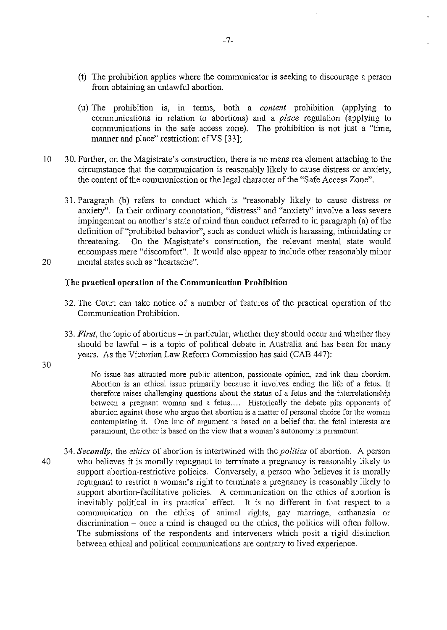- (t) The prohibition applies where the communicator is seeking to discourage a person from obtaining an unlawful abortion.
- (u) The prohibition is, in tenus, both a *content* prohibition (applying to communications in relation to abortions) and a *place* regulation (applying to communications in the safe access zone). The prohibition is not just a "time, manner and place" restriction: cf VS [33];
- 10 30. Further, on the Magistrate's construction, there is no mens rea element attaching to the circumstance that the communication is reasonably likely to cause distress or anxiety, the content of the communication or the legal character of the "Safe Access Zone".
- 31. Paragraph (b) refers to conduct which is "reasonably likely to cause distress or anxiety". In their ordinary connotation, "distress" and "anxiety" involve a less severe impingement on another's state of mind than conduct referred to in paragraph (a) of the definition of "prohibited behavior", such as conduct which is harassing, intimidating or threatening. On the Magistrate's construction, the relevant mental state would encompass mere "discomfort". It would also appear to include other reasonably minor 20 mental states such as "heartache".

### **The practical operation of the Communication Prohibition**

- 32. The Court can take notice of a number of features of the practical operation of the Communication Prohibition.
- 33. *First*, the topic of abortions in particular, whether they should occur and whether they should be lawful  $-$  is a topic of political debate in Australia and has been for many years. As the Victorian Law Reform Commission has said (CAB 447):

30

No issue has attracted more public attention, passionate opinion, and ink than abortion. Abortion is an ethical issue primarily because it involves ending the life of a fetus. It therefore raises challenging questions about the status of a fetus and the interrelationship between a pregnant woman and a fetus.... Historically the debate pits opponents of abortion against those who argue that abortion is a matter of personal choice for the woman contemplating it. One line of argument is based on a belief that the fetal interests are paramount, the other is based on the view that a woman's autonomy is paramount

34. *Secondly*, the *ethics* of abortion is intertwined with the *politics* of abortion. A person 40 who believes it is morally repugnant to terminate a pregnancy is reasonably likely to support abortion-restrictive policies. Conversely, a person who believes it is morally repugnant to restrict a woman's right to tenninate a pregnancy is reasonably likely to support abortion-facilitative policies. A communication on the ethics of abortion is inevitably political in its practical effect. It is no different in that respect to a communication on the ethics of animal rights, gay marriage, euthanasia or discrimination - once a mind is changed on the ethics, the politics will often follow. The submissions of the respondents and interveners which posit a rigid distinction between ethical and political communications are contrary to lived experience.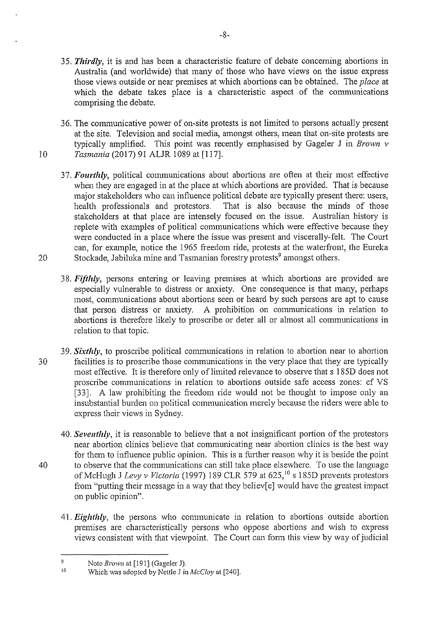- 35. *Thirdly,* it is and has been a characteristic feature of debate conceming abortions in Australia (and worldwide) that many of those who have views on the issue express those views outside or near premises at which abortions can be obtained. The *place* at which the debate takes place is a characteristic aspect of the connnunications comprising the debate.
- 36. The communicative power of on-site protests is not limited to persons actually present at the site. Television and social media, amongst others, mean that on-site protests are typically amplified. This point was recently emphasised by Gageler J in *Brown v*  10 *Tasmania* (2017) 91 ALJR 1089 at [117].
- 3 7. *Fourthly,* political communications about abortions are often at their most effective when they are engaged in at the place at which abortions are provided. That is because major stakeholders who can influence political debate are typically present there: users, health professionals and protestors. That is also because the minds of those stakeholders at that place are intensely focused on the issue. Australian history is replete with examples of political communications which were effective because they were conducted in a place where the issue was present and viscerally-felt. The Court can, for example, notice the 1965 freedom ride, protests at the waterfront, the Eureka 20 Stockade, Jabiluka mine and Tasmanian forestry protests<sup>9</sup> amongst others.
	- 38. *Fifthly,* persons entering or leaving premises at which abortions are provided are especially vulnerable to distress or anxiety. One consequence is that many, perhaps most, communications about abortions seen or heard by such persons are apt to cause that person distress or anxiety. A prohibition on communications in relation to abortions is therefore likely to proscribe or deter all or almost all communications in relation to that topic.
- 39. *Sixthly*, to proscribe political communications in relation to abortion near to abortion 30 facilities is to proscribe those communications in the very place that they are typically most effective. It is therefore only of limited relevance to observe that s 185D does not proscribe communications in relation to abortions outside safe access zones: cf VS [33]. A law prohibiting the freedom ride would not be thought to impose only an insubstantial burden on political communication merely because the riders were able to express their views in Sydney.
- 40. *Seventhly*, it is reasonable to believe that a not insignificant portion of the protestors near abortion clinics believe that communicating near abortion clinics is the best way for them to influence public opinion. This is a further reason why it is beside the point 40 to observe that the communications can still take place elsewhere. To use the language of McHugh J *Levy v Victoria* (1997) 189 CLR 579 at 625,<sup>10</sup> s 185D prevents protestors from "putting their message in a way that they believ[ e] would have the greatest impact on public opinion".
	- 41. *Eighthly*, the persons who communicate in relation to abortions outside abortion premises are characteristically persons who oppose abortions and wish to express views consistent with that viewpoint. The Court can fonn this view by way of judicial

 $\overline{9}$ Note *Brown* at [191] (Gageler J).

<sup>!0</sup> Which was adopted by Nettle J in *McC!oy* at [240].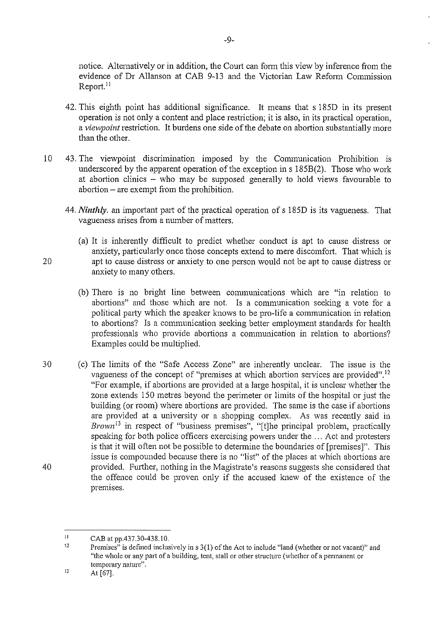notice. Alternatively or in addition, the Court can form this view by inference from the evidence of Dr Allanson at CAB 9-13 and the Victorian Law Reform Commission Report.<sup>11</sup>

- 42. This eighth point has additional significance. It means that s 185D in its present operation is not only a content and place restriction; it is also, in its practical operation, a *viewpoint* restriction. It burdens one side of the debate on abortion substantially more than the other.
- 10 43. The viewpoint discrimination imposed by the Communication Prohibition is underscored by the apparent operation of the exception in s 185B(2). Those who work at abortion clinics  $-$  who may be supposed generally to hold views favourable to  $a$ bortion – are exempt from the prohibition.
	- 44. *Ninthly*, an important part of the practical operation of s 185D is its vagueness. That vagueness arises from a number of matters.
- (a) It is inherently difficult to predict whether conduct is apt to cause distress or anxiety, particularly once those concepts extend to mere discomfort. That which is 20 apt to cause distress or anxiety to one person would not be apt to cause distress or anxiety to many others.
	- (b) There is no bright line between communications which are "in relation to abortions" and those which are not. Is a communication seeking a vote for a political party which the speaker knows to be pro-life a communication in relation to abotiions? Is a communication seeking better employment standards for health professionals who provide abortions a communication in relation to abortions? Examples could be multiplied.
- 30 (c) The limits of the "Safe Access Zone" are inherently unclear. The issue is the vagueness of the concept of "premises at which abortion services are provided".<sup>12</sup> "For example, if abotiions are provided at a large hospital, it is unclear whether the zone extends 150 metres beyond the perimeter or limits of the hospital or just the building (or room) where abortions are provided. The same is the case if abortions are provided at a university or a shopping complex. As was recently said in *Brown*<sup>13</sup> in respect of "business premises", "[t]he principal problem, practically speaking for both police officers exercising powers under the ... Act and protesters is that it will often not be possible to detennine the boundaries of [premises]". This issue is compounded because there is no "list" of the places at which abortions are 40 provided. Fmiher, nothing in the Magistrate's reasons suggests she considered that the offence could be proven only if the accused knew of the existence of the premises.

<sup>11</sup>  CAB at pp.437.30-438.!0.

<sup>12</sup>  Premises" is defined inclusively ins 3(1) of the Act to include "land (whether or not vacant)" and **"the whole or any part** of a **building, tent, stall or other structure (whether of a permanent or temporary nature".** 

<sup>]]</sup>  At [67].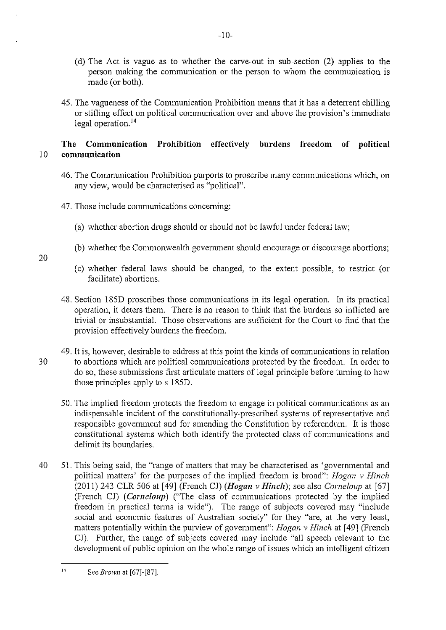- (d) The Act is vague as to whether the carve-out in sub-section (2) applies to the person making the communication or the person to whom the communication is made (or both).
- 45. The vagueness of the Communication Prohibition means that it has a detenent chilling or stifling effect on political communication over and above the provision's immediate legal operation.<sup>14</sup>

# **The Communication Prohibition effectively burdens freedom of political**  10 **communication**

- 46. The Communication Prohibition purports to proscribe many communications which, on any view, would be characterised as "political".
- 47. Those include communications concerning:
	- (a) whether abortion drugs should or should not be lawful under federal law;
	- (b) whether the Commonwealth government should encourage or discourage abortions;
	- (c) whether federal laws should be changed, to the extent possible, to restrict (or facilitate) abortions.
- 48. Section 185D proscribes those communications in its legal operation. In its practical operation, it deters them. There is no reason to think that the burdens so inflicted are trivial or insubstantial. Those observations are sufficient for the Court to find that the provision effectively burdens the freedom.
- 49. It is, however, desirable to address at this point the kinds of communications in relation 30 to abortions which are political communications protected by the freedom. In order to do so, these submissions first articulate matters of legal principle before turning to how those principles apply to s 185D.
	- 50. The implied freedom protects the freedom to engage in political communications as an indispensable incident of the constitutionally-prescribed systems of representative and responsible govemment and for amending the Constitution by referendum. It is those constitutional systems which both identify the protected class of communications and delimit its boundaries.
- 40 51. This being said, the "range of matters that may be characterised as 'governmental and political matters' for the purposes of the implied freedom is broad": *Hogan v Hinch* (2011) 243 CLR 506 at [49] (French CJ) *(Hogan v Hinch);* see also *Corneloup* at [67] (French CJ) *(Corneloup)* ("The class of communications protected by the implied freedom in practical terms is wide"). The range of subjects covered may "include social and economic features of Australian society" for they "are, at the very least, matters potentially within the purview of government": *Hogan v Hinch* at [ 49] (French CJ). Further, the range of subjects covered may include "all speech relevant to the development of public opinion on the whole range of issues which an intelligent citizen

J4 See *Brown* at [67]-[87].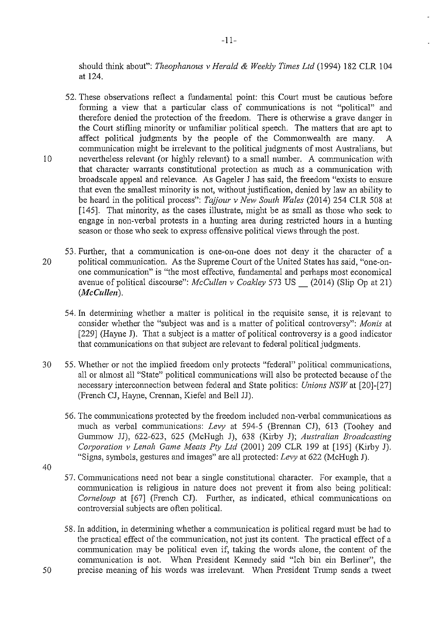should think about": *Theophanous* v *Herald* & *Weekly Times Ltd* (1994) 182 CLR 104 at 124.

- 52. These observations reflect a fundamental point: this Court must be cautious before fonning a view that a particular class of communications is not "political" and therefore denied the protection of the freedom. There is otherwise a grave danger in the Court stifling minority or unfamiliar political speech. The matters that are apt to affect political judgments by the people of the Commonwealth are many. A communication might be irrelevant to the political judgments of most Australians, but 10 nevertheless relevant (or highly relevant) to a small number. A communication with that character warrants constitutional protection as much as a communication with broadscale appeal and relevance. As Gageler J has said, the freedom "exists to ensure that even the smallest minority is not, without justification, denied by law an ability to be heard in the political process": *Tajjour* v *New South Wales* (2014) 254 CLR 508 at [145]. That minority, as the cases illustrate, might be as small as those who seek to engage in non-verbal protests in a hunting area during restricted hours in a hunting season or those who seek to express offensive political views through the post.
- 53. Further, that a communication is one-on-one does not deny it the character of a 20 political communication. As the Supreme Court of the United States has said, "one-onone communication" is "the most effective, fundamental and perhaps most economical avenue of political discourse": *McCullen* v *Coakley* 573 US\_ (2014) (Slip Op at 21) *(McCullen).* 
	- 54. In determining whether a matter is political in the requisite sense, it is relevant to consider whether the "subject was and is a matter of political controversy": *Monis* at [229] (Hayne J). That a subject is a matter of political controversy is a good indicator that communications on that subject are relevant to federal political judgments.
- 30 55. Whether or not the implied freedom only protects "federal" political communications, all or almost all "State" political communications will also be protected because of the necessary intercmmection between federal and State politics: *Unions NSW* at [20]-[27] (French CJ, Hayne, Crennan, Kiefel and Bell JJ).
	- 56. The communications protected by the freedom included non-verbal communications as much as verbal communications: *Levy* at 594-5 (Brennan CJ), 613 (Toohey and Gummow JJ), 622-623, 625 (McHugh J), 638 (Kirby J); *Australian Broadcasting Co1poration v Lenah Game Meats Pty Ltd* (2001) 209 CLR 199 at [195] (Kirby J). "Signs, symbols, gestures and images" are all protected: *Levy* at 622 (McHugh J).
- 40
- 57. Communications need not bear a single constitutional character. For example, that a communication is religious in nature does not prevent it from also being political: *Corneloup* at [67] (French CJ). Further, as indicated, ethical communications on controversial subjects are often political.
- 58. In addition, in determining whether a communication is political regard must be had to the practical effect of the communication, not just its content. The practical effect of a communication may be political even if, taking the words alone, the content of the communication is not. When President Kennedy said "Ich bin ein Berliner", the 50 precise meaning of his words was irrelevant. When President Trump sends a tweet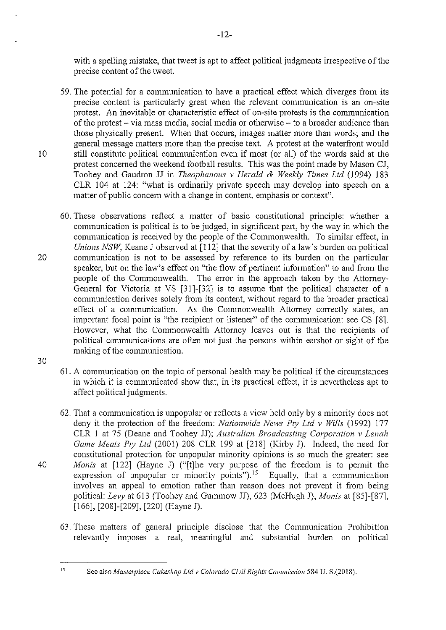with a spelling mistake, that tweet is apt to affect political judgments irrespective of the precise content of the tweet.

59. The potential for a communication to have a practical effect which diverges from its precise content is particularly great when the relevant communication is an on-site protest. An inevitable or characteristic effect of on-site protests is the communication of the protest- via mass media, social media or otherwise- to a broader audience than those physically present. When that occurs, images matter more than words; and the general message matters more than the precise text. A protest at the waterfront would 10 still constitute political communication even if most (or all) of the words said at the protest concerned the weekend football results. This was the point made by Mason CJ, Toohey and Gaudron JJ in *Theophanous v Herald* & *Weekly Times Ltd* (1994) 183 CLR 104 at 124: "what is ordinarily private speech may develop into speech on a matter of public concem with a change in content, emphasis or context".

60. These observations reflect a matter of basic constitutional principle: whether a communication is political is to be judged, in significant part, by the way in which the communication is received by the people of the Commonwealth. To similar effect, in *Unions NSW*, Keane J observed at [112] that the severity of a law's burden on political 20 communication is not to be assessed by reference to its burden on the particular speaker, but on the law's effect on "the flow of pertinent information" to and from the people of the Commonwealth. The error in the approach taken by the Attorney-General for Victoria at VS [31]-[32] is to assume that the political character of a communication derives solely from its content, without regard to the broader practical effect of a communication. As the Commonwealth Attomey conectly states, an important focal point is "the recipient or listener" of the communication: see CS [8]. However, what the Commonwealth Attorney leaves out is that the recipients of political communications are often not just the persons within earshot or sight of the making of the communication.

30

61. A communication on the topic of personal health may be political if the circumstances in which it is communicated show that, in its practical effect, it is nevertheless apt to affect political judgments.

62. That a communication is unpopular or reflects a view held only by a minority does not deny it the protection of the freedom: *Nationwide News Pty Ltd v Wills* (1992) 177 CLR 1 at 75 (Deane and Toohey JJ); *Australian Broadcasting Corporation v Lenah Game Meats Pty Ltd* (2001) 208 CLR 199 at [218] (Kirby J). Indeed, the need for constitutional protection for unpopular minority opinions is so much the greater: see 40 *Monis* at [122] (Hayne J) ("[t]he very purpose of the freedom is to pennit the expression of unpopular or minority points").<sup>15</sup> Equally, that a communication involves an appeal to emotion rather than reason does not prevent it from being political: *Levy* at 613 (Toohey and Gummow JJ), 623 (McHugh J); *Monis* at [85]-[87], [166], [208]-[209], [220] (Hayne J).

63. These matters of general principle disclose that the Communication Prohibition relevantly imposes a real, meaningful and substantial burden on political

<sup>&</sup>lt;sup>15</sup> See also *Masterpiece Cakeshop Ltd v Colorado Civil Rights Commission* 584 U. S.(2018).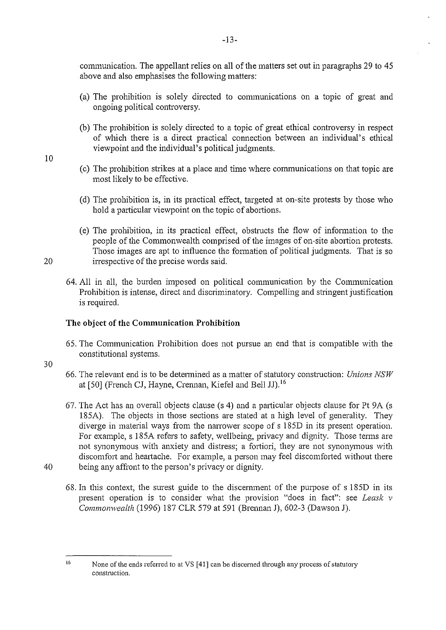communication. The appellant relies on all of the matters set out in paragraphs 29 to 45 above and also emphasises the following matters:

- (a) The prohibition is solely directed to communications on a topic of great and ongoing political controversy.
- (b) The prohibition is solely directed to a topic of great ethical controversy in respect of which there is a direct practical connection between an individual's ethical viewpoint and the individual's political judgments.
- 10
- (c) The prohibition strikes at a place and time where communications on that topic are most likely to be effective.
- (d) The prohibition is, in its practical effect, targeted at on-site protests by those who hold a particular viewpoint on the topic of abortions.
- (e) The prohibition, in its practical effect, obstructs the flow of infonnation to the people of the Commonwealth comprised of the images of on-site abortion protests. Those images are apt to influence the formation of political judgments. That is so 20 irrespective of the precise words said.
	- 64. All in all, the burden imposed on political communication by the Communication Prohibition is intense, direct and discriminatory. Compelling and stringent justification is required.

# **The object of the Communication Prohibition**

- 65. The Communication Prohibition does not pursue an end that is compatible with the constitutional systems.
- 30
- 66. The relevant end is to be determined as a matter of statutory construction: *Unions NSW* at [50] (French CJ, Hayne, Crennan, Kiefel and Bell JJ). <sup>16</sup>
- 67. The Act has an overall objects clause  $(s 4)$  and a particular objects clause for Pt 9A  $(s)$ 185A). The objects in those sections are stated at a high level of generality. They diverge in material ways from the narrower scope of s 185D in its present operation. For example, s 185A refers to safety, wellbeing, privacy and dignity. Those tenns are not synonymous with anxiety and distress; a fortiori, they are not synonymous with discomfort and heartache. For example, a person may feel discomforted without there
- 
- 40 being any affront to the person's privacy or dignity.
	- 68. In this context, the surest guide to the discernment of the purpose of s 185D in its present operation is to consider what the provision "does in fact": see *Leask v Commonwealth* (1996) 187 CLR 579 at 591 (Brennan J), 602-3 (Dawson J).

 $\frac{16}{16}$  None of the ends referred to at VS [41] can be discerned through any process of statutory **construction.**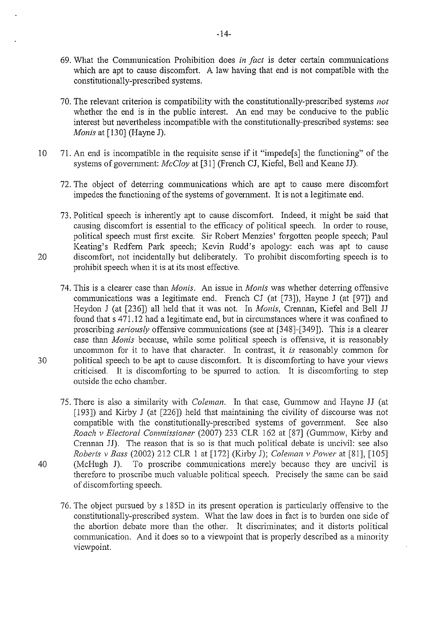- 69. What the Communication Prohibition does *in fact* is deter certain communications which are apt to cause discomfort. A law having that end is not compatible with the constitutionally-prescribed systems.
- 70. The relevant criterion is compatibility with the constitutionally-prescribed systems *not*  whether the end is in the public interest. An end may be conducive to the public interest but nevertheless incompatible with the constitutionally-prescribed systems: see *Monis* at [130] (Hayne J).
- 10 71. An end is incompatible in the requisite sense if it "impede[s] the functioning" of the systems of government: *McCloy* at [31] (French CJ, Kiefel, Bell and Keane JJ).
	- 72. The object of deterring communications which are apt to cause mere discomfoti impedes the functioning of the systems of government. It is not a legitimate end.
- 73. Political speech is inherently apt to cause discomfort. Indeed, it might be said that causing discomfort is essential to the efficacy of political speech. In order to rouse, political speech must first excite. Sir Robert Menzies' forgotten people speech; Paul Keating's Redfern Park speech; Kevin Rudd's apology: each was apt to cause 20 discomfort, not incidentally but deliberately. To prohibit discomforting speech is to prohibit speech when it is at its most effective.

74. This is a clearer case than *Monis.* An issue in *Monis* was whether deterring offensive communications was a legitimate end. French CJ (at [73]), Hayne J (at [97]) and Heydon J (at [236]) all held that it was not. In *Monis*, Crennan, Kiefel and Bell JJ found that s 471.12 had a legitimate end, but in circumstances where it was confined to proscribing *seriously* offensive communications (see at [348]-[349]). This is a clearer case than *Monis* because, while some political speech is offensive, it is reasonably uncommon for it to have that character. In contrast, it *is* reasonably common for 30 political speech to be apt to cause discomfort. It is discomforting to have your views criticised. It is discomforting to be spuned to action. It is discomfotiing to step outside the echo chamber.

75. There is also a similarity with *Coleman.* In that case, Gummow and Hayne JJ (at [193]) and Kirby J (at [226]) held that maintaining the civility of discourse was not compatible with the constitutionally-prescribed systems of government. See also *Roach v Electoral Commissioner* (2007) 233 CLR 162 at [87] (Gummow, Kirby and Crennan JJ). The reason that is so is that much political debate is uncivil: see also *Roberts v Bass* (2002) 212 CLR I at [172] (Kirby J); *Coleman v Power* at [81], [105] 40 (McHugh J). To proscribe communications merely because they are uncivil is therefore to proscribe much valuable political speech. Precisely the same can be said of discomforting speech.

76. The object pursued by s 185D in its present operation is particularly offensive to the constitutionally-prescribed system. What the law does in fact is to burden one side of the abortion debate more than the other. It discriminates; and it distorts political communication. And it does so to a viewpoint that is properly described as a minority viewpoint.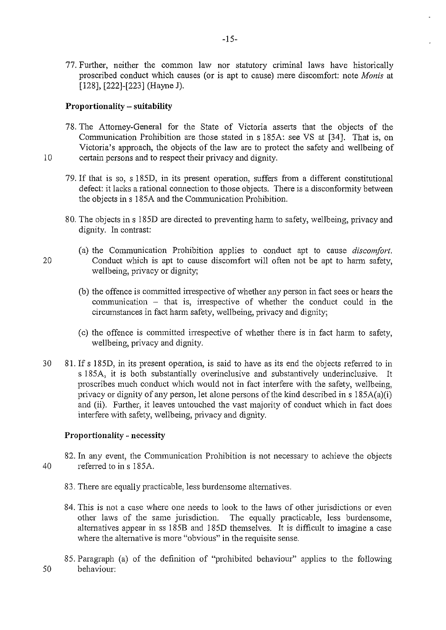77. Further, neither the common law nor statutory criminal laws have historically proscribed conduct which causes (or is apt to cause) mere discomfort: note *Monis* at [128], [222]-[223] (Hayne J).

#### **Proportionality - suitability**

- 78. The Attorney-General for the State of Victoria asserts that the objects of the Communication Prohibition are those stated in s 185A: see VS at [34]. That is, on Victoria's approach, the objects of the law are to protect the safety and wellbeing of 10 certain persons and to respect their privacy and dignity.
	- 79. If that is so, s 185D, in its present operation, suffers from a different constitutional defect: it lacks a rational connection to those objects. There is a disconformity between the objects in s 185A and the Communication Prohibition.
	- 80. The objects in s 185D are directed to preventing harm to safety, wellbeing, privacy and dignity. In contrast:
- (a) the Communication Prohibition applies to conduct apt to cause *discomfort.*  20 Conduct which is apt to cause discomfort will often not be apt to harm safety, wellbeing, privacy or dignity;
	- (b) the offence is committed irrespective of whether any person in fact sees or hears the communication - that is, irrespective of whether the conduct could in the circumstances in fact harm safety, wellbeing, privacy and dignity;
	- (c) the offence is committed irrespective of whether there is in fact harm to safety, wellbeing, privacy and dignity.
- 30 81. Ifs 185D, in its present operation, is said to have as its end the objects referred to in s 185A, it is both substantially overinclusive and substantively underinclusive. It proscribes much conduct which would not in fact interfere with the safety, wellbeing, privacy or dignity of any person, let alone persons of the kind described in  $s$  185A(a)(i) and (ii). Further, it leaves untouched the vast majority of conduct which in fact does interfere with safety, wellbeing, privacy and dignity.

# **Proportionality-** necessity

82. In any event, the Communication Prohibition is not necessary to achieve the objects 40 referred to in s 185A.

- 83. There are equally practicable, less burdensome alternatives.
- 84. This is not a case where one needs to look to the laws of other jurisdictions or even other laws of the same jurisdiction. The equally practicable, less burdensome, altematives appear in ss 185B and 185D themselves. It is difficult to imagine a case where the alternative is more "obvious" in the requisite sense.
- 85. Paragraph (a) of the definition of "prohibited behaviour" applies to the following 50 behaviour: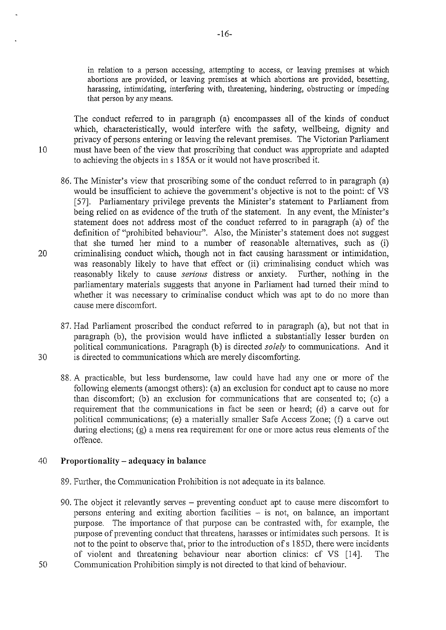in relation to a person accessing, attempting to access, or leaving premises at which abortions are provided, or leaving premises at which abortions are provided, besetting, harassing, intimidating, interfering with, threatening, hindering, obstructing or impeding that person by any means.

The conduct refened to in paragraph (a) encompasses all of the kinds of conduct which, characteristically, would interfere with the safety, wellbeing, dignity and privacy of persons entering or leaving the relevant premises. The Victorian Parliament 10 must have been of the view that proscribing that conduct was appropriate and adapted to achieving the objects ins 185A or it would not have proscribed it.

- 86. The Minister's view that proscribing some of the conduct refened to in paragraph (a) would be insufficient to achieve the government's objective is not to the point: cf VS [57]. Parliamentary privilege prevents the Minister's statement to Parliament from being relied on as evidence of the truth of the statement. In any event, the Minister's statement does not address most of the conduct refened to in paragraph (a) of the definition of "prohibited behaviour". Also, the Minister's statement does not suggest that she tumed her mind to a number of reasonable alternatives, such as (i) 20 criminalising conduct which, though not in fact causing harassment or intimidation, was reasonably likely to have that effect or (ii) criminalising conduct which was reasonably likely to cause *serious* distress or anxiety. Further, nothing in the parliamentary materials suggests that anyone in Parliament had turned their mind to whether it was necessary to criminalise conduct which was apt to do no more than cause mere discomfmi.
- 87. Had Parliament proscribed the conduct refened to in paragraph (a), but not that in paragraph (b), the provision would have inflicted a substantially lesser burden on political communications. Paragraph **(b)** is directed *solely* to communications. And it 30 is directed to communications which are merely discomforting.
	- 88. A practicable, but less burdensome, law could have had any one or more of the following elements (amongst others): (a) an exclusion for conduct apt to cause no more than discomfort; (b) an exclusion for communications that are consented to; (c) a requirement that the communications in fact be seen or heard; (d) a carve out for political communications; (e) a materially smaller Safe Access Zone; (f) a carve out during elections; (g) a mens rea requirement for one or more actus reus elements of the offence.

# 40 **Proportionality- adequacy in balance**

- 89. Further, the Communication Prohibition is not adequate in its balance.
- 90. The object it relevantly serves preventing conduct apt to cause mere discomfort to persons entering and exiting abortion facilities - is not, on balance, an important purpose. The importance of that purpose can be contrasted with, for example, the purpose of preventing conduct that threatens, harasses or intimidates such persons. It is not to the point to observe that, prior to the introduction of s 185D, there were incidents of violent and threatening behaviour near abortion clinics: cf VS [14]. The
- 50 Communication Prohibition simply is not directed to that kind of behaviour.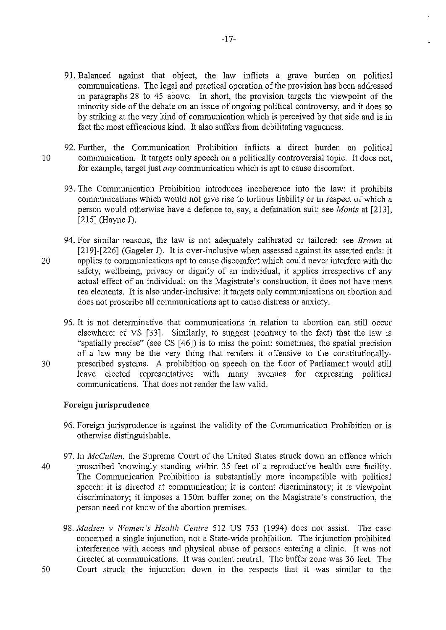91. Balanced against that object, the law inflicts a grave burden on political communications. The legal and practical operation of the provision has been addressed in paragraphs 28 to 45 above. In short, the provision targets the viewpoint of the minority side of the debate on an issue of ongoing political controversy, and it does so by striking at the very kind of communication which is perceived by that side and is in fact the most efficacious kind. It also suffers from debilitating vagueness.

-17-

- 92. Further, the Communication Prohibition inflicts a direct burden on political 10 communication. It targets only speech on a politically controversial topic. It does not, for example, target just *any* communication which is apt to cause discomfort.
	- 93. The Communication Prohibition introduces incoherence into the law: it prohibits communications which would not give rise to tortious liability or in respect of which a person would otherwise have a defence to, say, a defamation suit: see *Monis* at [213], [215] (Hayne J).
- 94. For similar reasons, the law is not adequately calibrated or tailored: see *Brown* at [219]-[226] (Gageler J). It is over-inclusive when assessed against its asserted ends: it 20 applies to communications apt to cause discomfort which could never interfere with the safety, wellbeing, privacy or dignity of an individual; it applies irrespective of any actual effect of an individual; on the Magistrate's construction, it does not have mens rea elements. It is also under-inclusive: it targets only communications on abortion and does not proscribe all communications apt to cause distress or anxiety.
- 95. It is not detenninative that communications in relation to abortion can still occur elsewhere: cf VS [33]. Similarly, to suggest (contrary to the fact) that the law is "spatially precise" (see CS [ 46]) is to miss the point: sometimes, the spatial precision of a law may be the very thing that renders it offensive to the constitutionally-30 prescribed systems. A prohibition on speech on the floor of Parliament would still leave elected representatives with many avenues for expressing political communications. That does not render the law valid.

# **Foreign jurisprudence**

- 96. Foreign jurisprudence is against the validity of the Communication Prohibition or is otherwise distinguishable.
- 97. In *McCullen*, the Supreme Court of the United States struck down an offence which 40 proscribed knowingly standing within 35 feet of a reproductive health care facility. The Communication Prohibition is substantially more incompatible with political speech: it is directed at communication; it is content discriminatory; it is viewpoint discriminatory; it imposes a 150m buffer zone; on the Magistrate's constmction, the person need not know of the abortion premises.
- 98. *Madsen v Women's Health Centre* 512 US 753 (1994) does not assist. The case concerned a single injunction, not a State-wide prohibition. The injunction prohibited interference with access and physical abuse of persons entering a clinic. It was not directed at communications. It was content neutral. The buffer zone was 36 feet. The 50 Comi struck the injunction down in the respects that it was similar to the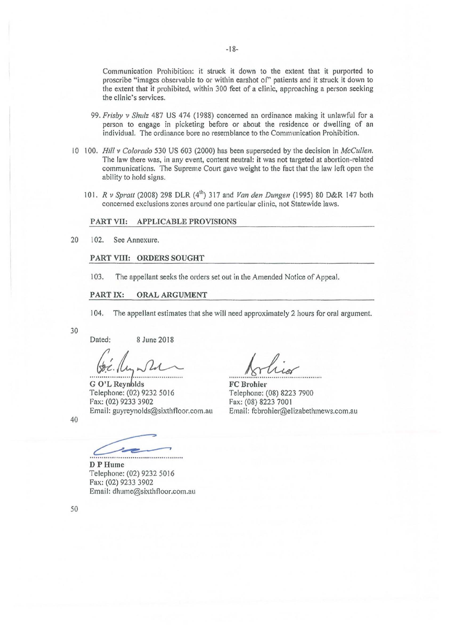Communication Prohibition: it struck it down to the extent that it purported to proscribe "images observable to or within earshot or' patients and it struck it down to the extent that it prohibited, within 300 feet of a clinic, approaching a person seeking the clinic's services.

- 99. *Frisby* v *Shulz* 487 US 474 (I 988) concerned an ordinance making it unlawful for a person to engage in picketing before or about the residence or dwelling of an individual. The ordinance bore no resemblance to the Communication Prohibition.
- I 0 100. *Hill v Colorado* 530 US 603 (2000) has been superseded by the decision in *McCullen.*  The law there was, in any event, content neutral: it was not targeted at abortion-related communications. The Supreme Court gave weight to the fact that the law left open the ability to hold signs.
	- 101. *R v Spratt* (2008) 298 DLR (4<sup>th</sup>) 317 and *Van den Dungen* (1995) 80 D&R 147 both concerned exclusions zones around one patticular clinic, not Statewide laws.

#### PART VII: APPLICABLE PROVISIONS

20 102. See Annexure.

#### PART VIII: ORDERS SOUGHT

103. The appellant seeks the orders set out in the Amended Notice of Appeal.

#### PART IX: ORAL ARGUMENT

104. The appellant estimates that she will need approximately 2 hours for oral argument.

#### 30

Dated: 8 June 2018

*.......*  '·6~ *: .............* ·························· G O'LRcy Ids Telephone: (02) 9232 50 16 Pax: (02) 9233 3902 Email: guyreynolds@sixthfloor.com.au

Arlier

Telephone: (08) 8223 7900 Fax: (08) 8223 7001 Email: fcbroh ier@el izabethmews.com.au

40

DPHume Telephone: (02) 9232 5016 Fax: (02) 9233 3902 Email: dhume@sixthfloor.com.au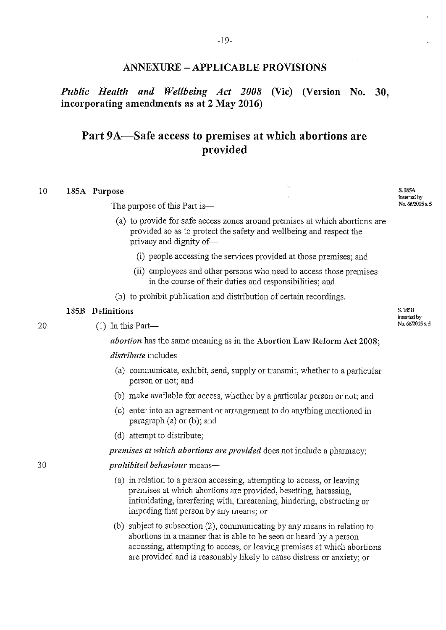*Public Health and Wellbeing Act 2008* (Vie) (Version No. 30, incorporating amendments as at 2 May 2016)

# Part 9A-Safe access to premises at which abortions are provided

#### 10 185A Purpose

The purpose of this Part is-

- (a) to provide for safe access zones around premises at which abortions are provided so as to protect the safety and wellbeing and respect the privacy and dignity of-
	- (i) people accessing the services provided at those premises; and
	- (ii) employees and other persons who need to access those premises in the course of their duties and responsibilities; and
- (b) to prohibit publication and distribution of certain recordings.

## 185B Definitions

 $(1)$  In this Part—

*abortion* has the same meaning as in the Abortion Law Reform Act 2008;

*distribute* includes-

- (a) communicate, exhibit, send, supply or transmit, whether to a particular person or not; and
- (b) make available for access, whether by a particular person or not; and
- (c) enter into an agreement or arrangement to do anything mentioned in  $\text{pargraph}$  (a) or (b); and
- (d) attempt to distribute;

#### *premises at which abortions are provided* does not include a pharmacy;

#### *prohibited behaviour* means-

- ( a) in relation to a person accessing, attempting to access, or leaving premises at which abortions are provided, besetting, harassing, intimidating, interfering with, threatening, hindering, obstructing or impeding that person by any means; or
- (b) subject to subsection  $(2)$ , communicating by any means in relation to abortions in a manner that is able to be seen or heard by a person accessing, attempting to access, or leaving premises at which abortions are provided and is reasonably likely to cause distress or anxiety; or

20

30

S. JSSB inserted by No. 66/2015 s. 5

S. 185A inserted by No. 6612015 s. 5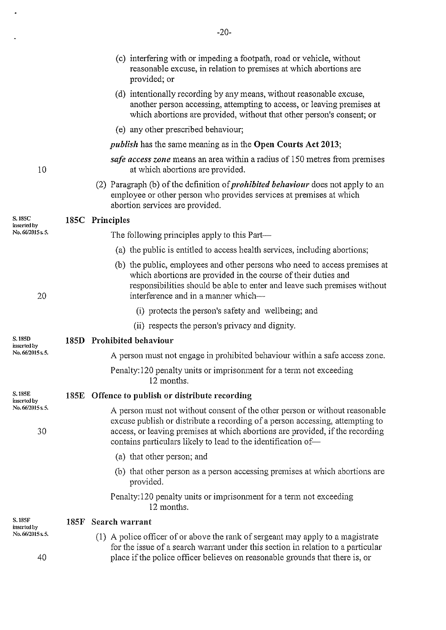|                        |      | (c) interfering with or impeding a footpath, road or vehicle, without<br>reasonable excuse, in relation to premises at which abortions are<br>provided; or                                                                                                                                                     |
|------------------------|------|----------------------------------------------------------------------------------------------------------------------------------------------------------------------------------------------------------------------------------------------------------------------------------------------------------------|
|                        |      | (d) intentionally recording by any means, without reasonable excuse,<br>another person accessing, attempting to access, or leaving premises at<br>which abortions are provided, without that other person's consent; or                                                                                        |
|                        |      | (e) any other prescribed behaviour;                                                                                                                                                                                                                                                                            |
|                        |      | <i>publish</i> has the same meaning as in the Open Courts Act 2013;                                                                                                                                                                                                                                            |
| 10                     |      | safe access zone means an area within a radius of 150 metres from premises<br>at which abortions are provided.                                                                                                                                                                                                 |
|                        |      | (2) Paragraph (b) of the definition of <i>prohibited behaviour</i> does not apply to an<br>employee or other person who provides services at premises at which<br>abortion services are provided.                                                                                                              |
| S.185C<br>inserted by  |      | 185C Principles                                                                                                                                                                                                                                                                                                |
| No. 66/2015 s.5.       |      | The following principles apply to this Part—                                                                                                                                                                                                                                                                   |
|                        |      | (a) the public is entitled to access health services, including abortions;                                                                                                                                                                                                                                     |
| 20                     |      | (b) the public, employees and other persons who need to access premises at<br>which abortions are provided in the course of their duties and<br>responsibilities should be able to enter and leave such premises without<br>interference and in a manner which—                                                |
|                        |      | (i) protects the person's safety and wellbeing; and                                                                                                                                                                                                                                                            |
|                        |      | (ii) respects the person's privacy and dignity.                                                                                                                                                                                                                                                                |
| S. 185D<br>inserted by |      | 185D Prohibited behaviour                                                                                                                                                                                                                                                                                      |
| No. 66/2015 s.5.       |      | A person must not engage in prohibited behaviour within a safe access zone.                                                                                                                                                                                                                                    |
|                        |      | Penalty:120 penalty units or imprisonment for a term not exceeding<br>12 months.                                                                                                                                                                                                                               |
| S. 185E<br>inserted by |      | 185E Offence to publish or distribute recording                                                                                                                                                                                                                                                                |
| No. 66/2015 s.5.<br>30 |      | A person must not without consent of the other person or without reasonable<br>excuse publish or distribute a recording of a person accessing, attempting to<br>access, or leaving premises at which abortions are provided, if the recording<br>contains particulars likely to lead to the identification of- |
|                        |      | (a) that other person; and                                                                                                                                                                                                                                                                                     |
|                        |      | (b) that other person as a person accessing premises at which abortions are<br>provided.                                                                                                                                                                                                                       |
|                        |      | Penalty:120 penalty units or imprisonment for a term not exceeding<br>12 months.                                                                                                                                                                                                                               |
| S. 185F<br>inserted by | 185F | Search warrant                                                                                                                                                                                                                                                                                                 |
| No. 66/2015 s. 5.      |      | (1) A police officer of or above the rank of sergeant may apply to a magistrate<br>for the issue of a search warrant under this section in relation to a particular                                                                                                                                            |
| 40                     |      | place if the police officer believes on reasonable grounds that there is, or                                                                                                                                                                                                                                   |

 $\ddot{\phantom{0}}$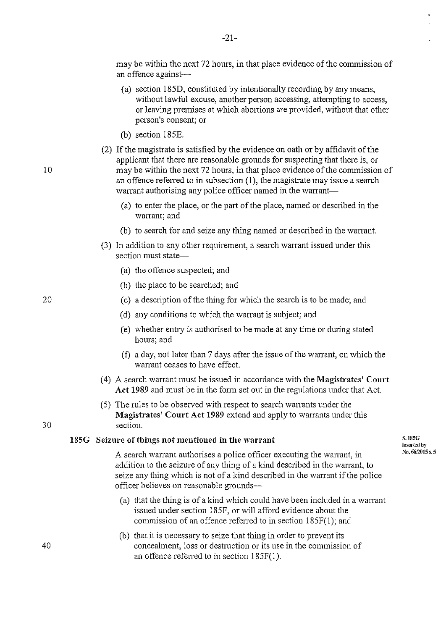may be within the next 72 hours, in that place evidence of the commission of an offence against-

- (a) section 185D, constituted by intentionally recording by any means, without lawful excuse, another person accessing, attempting to access, or leaving premises at which abortions are provided, without that other person's consent; or
- (b) section 185E.
- (2) If the magistrate is satisfied by the evidence on oath or by affidavit of the applicant that there are reasonable grounds for suspecting that there is, or may be within the next 72 hours, in that place evidence of the commission of an offence referred to in subsection (1 ), the magistrate may issue a search warrant authorising any police officer named in the warrant-
	- ( a) to enter the place, or the pati of the place, named or described in the warrant; and
	- (b) to search for and seize any thing named or described in the warrant.
- (3) In addition to any other requirement, a search warrant issued under this section must state-
	- (a) the offence suspected; and
	- (b) the place to be searched; and
	- (c) a description of the thing for which the search is to be made; and
	- (d) any conditions to which the warrant is subject; and
	- (e) whether entry is authorised to be made at any time or during stated hours; and
	- (f) a day, not later than  $7$  days after the issue of the warrant, on which the warrant ceases to have effect.
- ( 4) A search warrant must be issued in accordance with the **Magistrates' Court Act 1989** and must be in the fonn set out in the regulations under that Act.
- (5) The rules to be observed with respect to search warrants under the **Magistrates' Court Act 1989** extend and apply to warrants under this 30 section.

#### **185G Seizure of things not mentioned in the warrant**

A search warrant authorises a police officer executing the warrant, in addition to the seizure of any thing of a kind described in the warrant, to seize any thing which is not of a kind described in the warrant if the police officer believes on reasonable grounds-

- (a) that the thing is of a kind which could have been included in a warrant issued under section 185F, or will afford evidence about the commission of an offence refened to in section 185F(l ); and
- (b) that it is necessary to seize that thing in order to prevent its concealment, loss or destmction or its use in the commission of an offence refened to in section 185F(l).

**S.I85G insc1ied by**   $N_0$ . 66/2015 s. 5

40

20